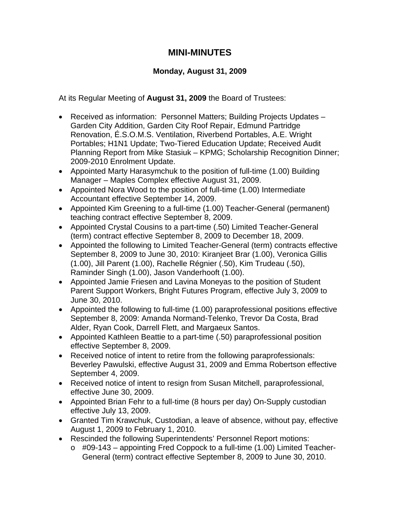## **MINI-MINUTES**

## **Monday, August 31, 2009**

At its Regular Meeting of **August 31, 2009** the Board of Trustees:

- Received as information: Personnel Matters; Building Projects Updates Garden City Addition, Garden City Roof Repair, Edmund Partridge Renovation, É.S.O.M.S. Ventilation, Riverbend Portables, A.E. Wright Portables; H1N1 Update; Two-Tiered Education Update; Received Audit Planning Report from Mike Stasiuk – KPMG; Scholarship Recognition Dinner; 2009-2010 Enrolment Update.
- Appointed Marty Harasymchuk to the position of full-time (1.00) Building Manager – Maples Complex effective August 31, 2009.
- Appointed Nora Wood to the position of full-time (1.00) Intermediate Accountant effective September 14, 2009.
- Appointed Kim Greening to a full-time (1.00) Teacher-General (permanent) teaching contract effective September 8, 2009.
- Appointed Crystal Cousins to a part-time (.50) Limited Teacher-General (term) contract effective September 8, 2009 to December 18, 2009.
- Appointed the following to Limited Teacher-General (term) contracts effective September 8, 2009 to June 30, 2010: Kiranjeet Brar (1.00), Veronica Gillis (1.00), Jill Parent (1.00), Rachelle Régnier (.50), Kim Trudeau (.50), Raminder Singh (1.00), Jason Vanderhooft (1.00).
- Appointed Jamie Friesen and Lavina Moneyas to the position of Student Parent Support Workers, Bright Futures Program, effective July 3, 2009 to June 30, 2010.
- Appointed the following to full-time (1.00) paraprofessional positions effective September 8, 2009: Amanda Normand-Telenko, Trevor Da Costa, Brad Alder, Ryan Cook, Darrell Flett, and Margaeux Santos.
- Appointed Kathleen Beattie to a part-time (.50) paraprofessional position effective September 8, 2009.
- Received notice of intent to retire from the following paraprofessionals: Beverley Pawulski, effective August 31, 2009 and Emma Robertson effective September 4, 2009.
- Received notice of intent to resign from Susan Mitchell, paraprofessional, effective June 30, 2009.
- Appointed Brian Fehr to a full-time (8 hours per day) On-Supply custodian effective July 13, 2009.
- Granted Tim Krawchuk, Custodian, a leave of absence, without pay, effective August 1, 2009 to February 1, 2010.
- Rescinded the following Superintendents' Personnel Report motions:
	- $\circ$  #09-143 appointing Fred Coppock to a full-time (1.00) Limited Teacher-General (term) contract effective September 8, 2009 to June 30, 2010.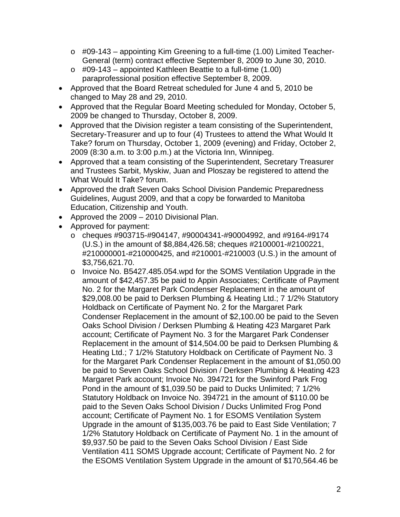- $\circ$  #09-143 appointing Kim Greening to a full-time (1.00) Limited Teacher-General (term) contract effective September 8, 2009 to June 30, 2010.
- $\circ$  #09-143 appointed Kathleen Beattie to a full-time (1.00) paraprofessional position effective September 8, 2009.
- Approved that the Board Retreat scheduled for June 4 and 5, 2010 be changed to May 28 and 29, 2010.
- Approved that the Regular Board Meeting scheduled for Monday, October 5, 2009 be changed to Thursday, October 8, 2009.
- Approved that the Division register a team consisting of the Superintendent, Secretary-Treasurer and up to four (4) Trustees to attend the What Would It Take? forum on Thursday, October 1, 2009 (evening) and Friday, October 2, 2009 (8:30 a.m. to 3:00 p.m.) at the Victoria Inn, Winnipeg.
- Approved that a team consisting of the Superintendent, Secretary Treasurer and Trustees Sarbit, Myskiw, Juan and Ploszay be registered to attend the What Would It Take? forum.
- Approved the draft Seven Oaks School Division Pandemic Preparedness Guidelines, August 2009, and that a copy be forwarded to Manitoba Education, Citizenship and Youth.
- Approved the 2009 2010 Divisional Plan.
- Approved for payment:
	- o cheques #903715-#904147, #90004341-#90004992, and #9164-#9174 (U.S.) in the amount of \$8,884,426.58; cheques #2100001-#2100221, #210000001-#210000425, and #210001-#210003 (U.S.) in the amount of \$3,756,621.70.
	- o Invoice No. B5427.485.054.wpd for the SOMS Ventilation Upgrade in the amount of \$42,457.35 be paid to Appin Associates; Certificate of Payment No. 2 for the Margaret Park Condenser Replacement in the amount of \$29,008.00 be paid to Derksen Plumbing & Heating Ltd.; 7 1/2% Statutory Holdback on Certificate of Payment No. 2 for the Margaret Park Condenser Replacement in the amount of \$2,100.00 be paid to the Seven Oaks School Division / Derksen Plumbing & Heating 423 Margaret Park account; Certificate of Payment No. 3 for the Margaret Park Condenser Replacement in the amount of \$14,504.00 be paid to Derksen Plumbing & Heating Ltd.; 7 1/2% Statutory Holdback on Certificate of Payment No. 3 for the Margaret Park Condenser Replacement in the amount of \$1,050.00 be paid to Seven Oaks School Division / Derksen Plumbing & Heating 423 Margaret Park account; Invoice No. 394721 for the Swinford Park Frog Pond in the amount of \$1,039.50 be paid to Ducks Unlimited; 7 1/2% Statutory Holdback on Invoice No. 394721 in the amount of \$110.00 be paid to the Seven Oaks School Division / Ducks Unlimited Frog Pond account; Certificate of Payment No. 1 for ESOMS Ventilation System Upgrade in the amount of \$135,003.76 be paid to East Side Ventilation; 7 1/2% Statutory Holdback on Certificate of Payment No. 1 in the amount of \$9,937.50 be paid to the Seven Oaks School Division / East Side Ventilation 411 SOMS Upgrade account; Certificate of Payment No. 2 for the ESOMS Ventilation System Upgrade in the amount of \$170,564.46 be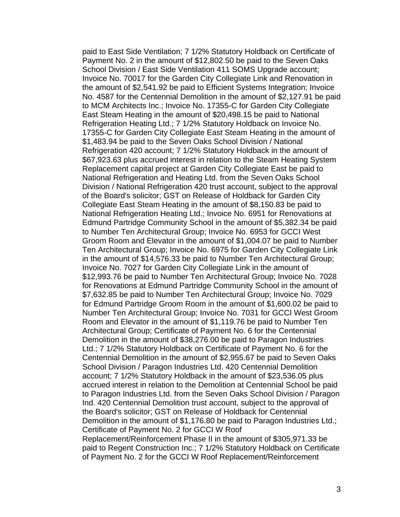paid to East Side Ventilation; 7 1/2% Statutory Holdback on Certificate of Payment No. 2 in the amount of \$12,802.50 be paid to the Seven Oaks School Division / East Side Ventilation 411 SOMS Upgrade account; Invoice No. 70017 for the Garden City Collegiate Link and Renovation in the amount of \$2,541.92 be paid to Efficient Systems Integration; Invoice No. 4587 for the Centennial Demolition in the amount of \$2,127.91 be paid to MCM Architects Inc.; Invoice No. 17355-C for Garden City Collegiate East Steam Heating in the amount of \$20,498.15 be paid to National Refrigeration Heating Ltd.; 7 1/2% Statutory Holdback on Invoice No. 17355-C for Garden City Collegiate East Steam Heating in the amount of \$1,483.94 be paid to the Seven Oaks School Division / National Refrigeration 420 account; 7 1/2% Statutory Holdback in the amount of \$67,923.63 plus accrued interest in relation to the Steam Heating System Replacement capital project at Garden City Collegiate East be paid to National Refrigeration and Heating Ltd. from the Seven Oaks School Division / National Refrigeration 420 trust account, subject to the approval of the Board's solicitor; GST on Release of Holdback for Garden City Collegiate East Steam Heating in the amount of \$8,150.83 be paid to National Refrigeration Heating Ltd.; Invoice No. 6951 for Renovations at Edmund Partridge Community School in the amount of \$5,382.34 be paid to Number Ten Architectural Group; Invoice No. 6953 for GCCI West Groom Room and Elevator in the amount of \$1,004.07 be paid to Number Ten Architectural Group; Invoice No. 6975 for Garden City Collegiate Link in the amount of \$14,576.33 be paid to Number Ten Architectural Group; Invoice No. 7027 for Garden City Collegiate Link in the amount of \$12,993.76 be paid to Number Ten Architectural Group; Invoice No. 7028 for Renovations at Edmund Partridge Community School in the amount of \$7,632.85 be paid to Number Ten Architectural Group; Invoice No. 7029 for Edmund Partridge Groom Room in the amount of \$1,600.02 be paid to Number Ten Architectural Group; Invoice No. 7031 for GCCI West Groom Room and Elevator in the amount of \$1,119.76 be paid to Number Ten Architectural Group; Certificate of Payment No. 6 for the Centennial Demolition in the amount of \$38,276.00 be paid to Paragon Industries Ltd.; 7 1/2% Statutory Holdback on Certificate of Payment No. 6 for the Centennial Demolition in the amount of \$2,955.67 be paid to Seven Oaks School Division / Paragon Industries Ltd. 420 Centennial Demolition account; 7 1/2% Statutory Holdback in the amount of \$23,536.05 plus accrued interest in relation to the Demolition at Centennial School be paid to Paragon Industries Ltd. from the Seven Oaks School Division / Paragon Ind. 420 Centennial Demolition trust account, subject to the approval of the Board's solicitor; GST on Release of Holdback for Centennial Demolition in the amount of \$1,176.80 be paid to Paragon Industries Ltd.; Certificate of Payment No. 2 for GCCI W Roof Replacement/Reinforcement Phase II in the amount of \$305,971.33 be paid to Regent Construction Inc.; 7 1/2% Statutory Holdback on Certificate

of Payment No. 2 for the GCCI W Roof Replacement/Reinforcement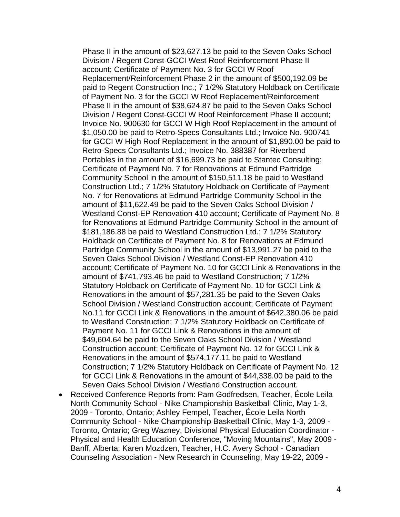Phase II in the amount of \$23,627.13 be paid to the Seven Oaks School Division / Regent Const-GCCI West Roof Reinforcement Phase II account; Certificate of Payment No. 3 for GCCI W Roof Replacement/Reinforcement Phase 2 in the amount of \$500,192.09 be paid to Regent Construction Inc.; 7 1/2% Statutory Holdback on Certificate of Payment No. 3 for the GCCI W Roof Replacement/Reinforcement Phase II in the amount of \$38,624.87 be paid to the Seven Oaks School Division / Regent Const-GCCI W Roof Reinforcement Phase II account; Invoice No. 900630 for GCCI W High Roof Replacement in the amount of \$1,050.00 be paid to Retro-Specs Consultants Ltd.; Invoice No. 900741 for GCCI W High Roof Replacement in the amount of \$1,890.00 be paid to Retro-Specs Consultants Ltd.; Invoice No. 388387 for Riverbend Portables in the amount of \$16,699.73 be paid to Stantec Consulting; Certificate of Payment No. 7 for Renovations at Edmund Partridge Community School in the amount of \$150,511.18 be paid to Westland Construction Ltd.; 7 1/2% Statutory Holdback on Certificate of Payment No. 7 for Renovations at Edmund Partridge Community School in the amount of \$11,622.49 be paid to the Seven Oaks School Division / Westland Const-EP Renovation 410 account; Certificate of Payment No. 8 for Renovations at Edmund Partridge Community School in the amount of \$181,186.88 be paid to Westland Construction Ltd.; 7 1/2% Statutory Holdback on Certificate of Payment No. 8 for Renovations at Edmund Partridge Community School in the amount of \$13,991.27 be paid to the Seven Oaks School Division / Westland Const-EP Renovation 410 account; Certificate of Payment No. 10 for GCCI Link & Renovations in the amount of \$741,793.46 be paid to Westland Construction; 7 1/2% Statutory Holdback on Certificate of Payment No. 10 for GCCI Link & Renovations in the amount of \$57,281.35 be paid to the Seven Oaks School Division / Westland Construction account; Certificate of Payment No.11 for GCCI Link & Renovations in the amount of \$642,380.06 be paid to Westland Construction; 7 1/2% Statutory Holdback on Certificate of Payment No. 11 for GCCI Link & Renovations in the amount of \$49,604.64 be paid to the Seven Oaks School Division / Westland Construction account; Certificate of Payment No. 12 for GCCI Link & Renovations in the amount of \$574,177.11 be paid to Westland Construction; 7 1/2% Statutory Holdback on Certificate of Payment No. 12 for GCCI Link & Renovations in the amount of \$44,338.00 be paid to the Seven Oaks School Division / Westland Construction account.

• Received Conference Reports from: Pam Godfredsen, Teacher, École Leila North Community School - Nike Championship Basketball Clinic, May 1-3, 2009 - Toronto, Ontario; Ashley Fempel, Teacher, École Leila North Community School - Nike Championship Basketball Clinic, May 1-3, 2009 - Toronto, Ontario; Greg Wazney, Divisional Physical Education Coordinator - Physical and Health Education Conference, "Moving Mountains", May 2009 - Banff, Alberta; Karen Mozdzen, Teacher, H.C. Avery School - Canadian Counseling Association - New Research in Counseling, May 19-22, 2009 -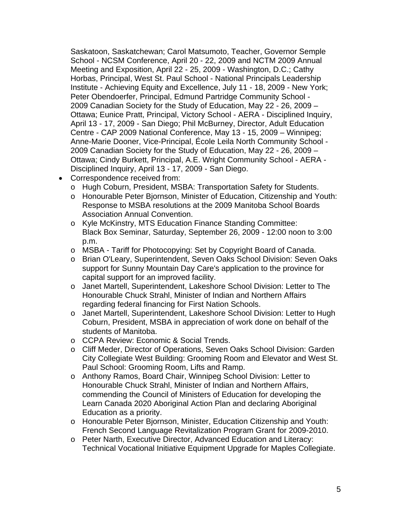Saskatoon, Saskatchewan; Carol Matsumoto, Teacher, Governor Semple School - NCSM Conference, April 20 - 22, 2009 and NCTM 2009 Annual Meeting and Exposition, April 22 - 25, 2009 - Washington, D.C.; Cathy Horbas, Principal, West St. Paul School - National Principals Leadership Institute - Achieving Equity and Excellence, July 11 - 18, 2009 - New York; Peter Obendoerfer, Principal, Edmund Partridge Community School - 2009 Canadian Society for the Study of Education, May 22 - 26, 2009 – Ottawa; Eunice Pratt, Principal, Victory School - AERA - Disciplined Inquiry, April 13 - 17, 2009 - San Diego; Phil McBurney, Director, Adult Education Centre - CAP 2009 National Conference, May 13 - 15, 2009 – Winnipeg; Anne-Marie Dooner, Vice-Principal, École Leila North Community School - 2009 Canadian Society for the Study of Education, May 22 - 26, 2009 – Ottawa; Cindy Burkett, Principal, A.E. Wright Community School - AERA - Disciplined Inquiry, April 13 - 17, 2009 - San Diego.

- Correspondence received from:
	- o Hugh Coburn, President, MSBA: Transportation Safety for Students.
	- o Honourable Peter Bjornson, Minister of Education, Citizenship and Youth: Response to MSBA resolutions at the 2009 Manitoba School Boards Association Annual Convention.
	- o Kyle McKinstry, MTS Education Finance Standing Committee: Black Box Seminar, Saturday, September 26, 2009 - 12:00 noon to 3:00 p.m.
	- o MSBA Tariff for Photocopying: Set by Copyright Board of Canada.
	- o Brian O'Leary, Superintendent, Seven Oaks School Division: Seven Oaks support for Sunny Mountain Day Care's application to the province for capital support for an improved facility.
	- o Janet Martell, Superintendent, Lakeshore School Division: Letter to The Honourable Chuck Strahl, Minister of Indian and Northern Affairs regarding federal financing for First Nation Schools.
	- o Janet Martell, Superintendent, Lakeshore School Division: Letter to Hugh Coburn, President, MSBA in appreciation of work done on behalf of the students of Manitoba.
	- o CCPA Review: Economic & Social Trends.
	- o Cliff Meder, Director of Operations, Seven Oaks School Division: Garden City Collegiate West Building: Grooming Room and Elevator and West St. Paul School: Grooming Room, Lifts and Ramp.
	- o Anthony Ramos, Board Chair, Winnipeg School Division: Letter to Honourable Chuck Strahl, Minister of Indian and Northern Affairs, commending the Council of Ministers of Education for developing the Learn Canada 2020 Aboriginal Action Plan and declaring Aboriginal Education as a priority.
	- o Honourable Peter Bjornson, Minister, Education Citizenship and Youth: French Second Language Revitalization Program Grant for 2009-2010.
	- o Peter Narth, Executive Director, Advanced Education and Literacy: Technical Vocational Initiative Equipment Upgrade for Maples Collegiate.